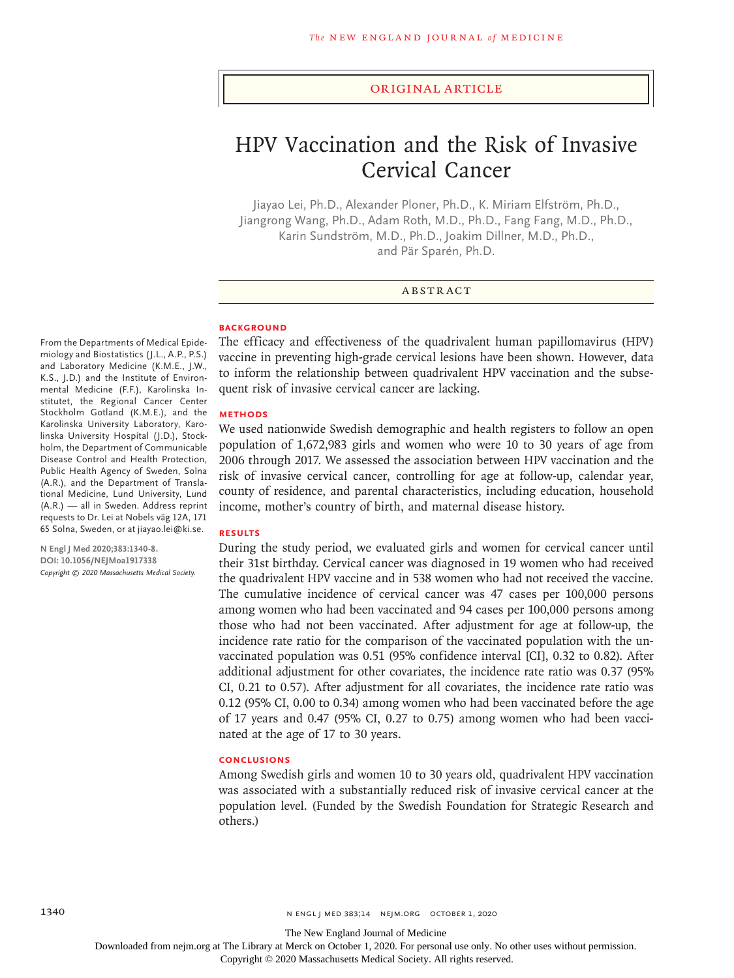### Original Article

# HPV Vaccination and the Risk of Invasive Cervical Cancer

Jiayao Lei, Ph.D., Alexander Ploner, Ph.D., K. Miriam Elfström, Ph.D., Jiangrong Wang, Ph.D., Adam Roth, M.D., Ph.D., Fang Fang, M.D., Ph.D., Karin Sundström, M.D., Ph.D., Joakim Dillner, M.D., Ph.D., and Pär Sparén, Ph.D.

### ABSTRACT

### **BACKGROUND**

From the Departments of Medical Epidemiology and Biostatistics (J.L., A.P., P.S.) and Laboratory Medicine (K.M.E., J.W., K.S., J.D.) and the Institute of Environmental Medicine (F.F.), Karolinska Institutet, the Regional Cancer Center Stockholm Gotland (K.M.E.), and the Karolinska University Laboratory, Karolinska University Hospital (J.D.), Stockholm, the Department of Communicable Disease Control and Health Protection, Public Health Agency of Sweden, Solna (A.R.), and the Department of Translational Medicine, Lund University, Lund (A.R.) — all in Sweden. Address reprint requests to Dr. Lei at Nobels väg 12A, 171 65 Solna, Sweden, or at jiayao.lei@ki.se.

**N Engl J Med 2020;383:1340-8. DOI: 10.1056/NEJMoa1917338** *Copyright © 2020 Massachusetts Medical Society.* The efficacy and effectiveness of the quadrivalent human papillomavirus (HPV) vaccine in preventing high-grade cervical lesions have been shown. However, data to inform the relationship between quadrivalent HPV vaccination and the subsequent risk of invasive cervical cancer are lacking.

### **METHODS**

We used nationwide Swedish demographic and health registers to follow an open population of 1,672,983 girls and women who were 10 to 30 years of age from 2006 through 2017. We assessed the association between HPV vaccination and the risk of invasive cervical cancer, controlling for age at follow-up, calendar year, county of residence, and parental characteristics, including education, household income, mother's country of birth, and maternal disease history.

### **RESULTS**

During the study period, we evaluated girls and women for cervical cancer until their 31st birthday. Cervical cancer was diagnosed in 19 women who had received the quadrivalent HPV vaccine and in 538 women who had not received the vaccine. The cumulative incidence of cervical cancer was 47 cases per 100,000 persons among women who had been vaccinated and 94 cases per 100,000 persons among those who had not been vaccinated. After adjustment for age at follow-up, the incidence rate ratio for the comparison of the vaccinated population with the unvaccinated population was 0.51 (95% confidence interval [CI], 0.32 to 0.82). After additional adjustment for other covariates, the incidence rate ratio was 0.37 (95% CI, 0.21 to 0.57). After adjustment for all covariates, the incidence rate ratio was 0.12 (95% CI, 0.00 to 0.34) among women who had been vaccinated before the age of 17 years and 0.47 (95% CI, 0.27 to 0.75) among women who had been vaccinated at the age of 17 to 30 years.

### **CONCLUSIONS**

Among Swedish girls and women 10 to 30 years old, quadrivalent HPV vaccination was associated with a substantially reduced risk of invasive cervical cancer at the population level. (Funded by the Swedish Foundation for Strategic Research and others.)

The New England Journal of Medicine

Downloaded from nejm.org at The Library at Merck on October 1, 2020. For personal use only. No other uses without permission.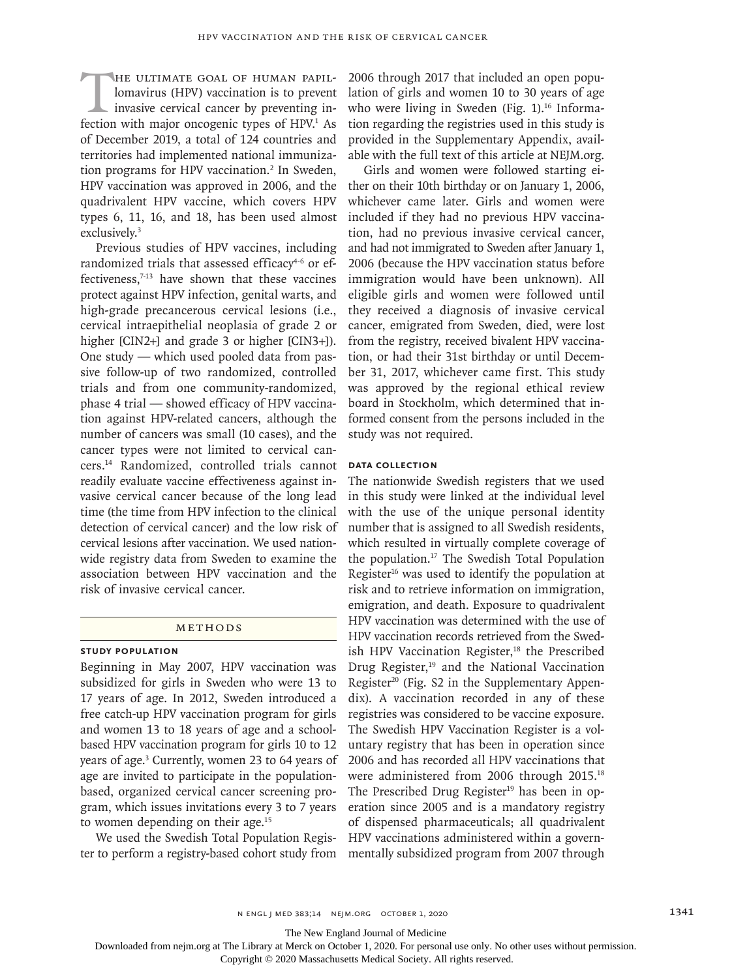HE ULTIMATE GOAL OF HUMAN PAPIL-<br>lomavirus (HPV) vaccination is to prevent<br>invasive cervical cancer by preventing in-<br>fection with major oncogenic types of HPV<sup>1</sup> As lomavirus (HPV) vaccination is to prevent invasive cervical cancer by preventing infection with major oncogenic types of HPV.<sup>1</sup> As of December 2019, a total of 124 countries and territories had implemented national immunization programs for HPV vaccination.<sup>2</sup> In Sweden, HPV vaccination was approved in 2006, and the quadrivalent HPV vaccine, which covers HPV types 6, 11, 16, and 18, has been used almost exclusively.3

Previous studies of HPV vaccines, including randomized trials that assessed efficacy $4-6$  or effectiveness,<sup>7-13</sup> have shown that these vaccines protect against HPV infection, genital warts, and high-grade precancerous cervical lesions (i.e., cervical intraepithelial neoplasia of grade 2 or higher [CIN2+] and grade 3 or higher [CIN3+]). One study — which used pooled data from passive follow-up of two randomized, controlled trials and from one community-randomized, phase 4 trial — showed efficacy of HPV vaccination against HPV-related cancers, although the number of cancers was small (10 cases), and the cancer types were not limited to cervical cancers.14 Randomized, controlled trials cannot readily evaluate vaccine effectiveness against invasive cervical cancer because of the long lead time (the time from HPV infection to the clinical detection of cervical cancer) and the low risk of cervical lesions after vaccination. We used nationwide registry data from Sweden to examine the association between HPV vaccination and the risk of invasive cervical cancer.

### Methods

# **Study Population**

Beginning in May 2007, HPV vaccination was subsidized for girls in Sweden who were 13 to 17 years of age. In 2012, Sweden introduced a free catch-up HPV vaccination program for girls and women 13 to 18 years of age and a schoolbased HPV vaccination program for girls 10 to 12 years of age.3 Currently, women 23 to 64 years of age are invited to participate in the populationbased, organized cervical cancer screening program, which issues invitations every 3 to 7 years to women depending on their age.15

We used the Swedish Total Population Register to perform a registry-based cohort study from 2006 through 2017 that included an open population of girls and women 10 to 30 years of age who were living in Sweden (Fig. 1).<sup>16</sup> Information regarding the registries used in this study is provided in the Supplementary Appendix, available with the full text of this article at NEJM.org.

Girls and women were followed starting either on their 10th birthday or on January 1, 2006, whichever came later. Girls and women were included if they had no previous HPV vaccination, had no previous invasive cervical cancer, and had not immigrated to Sweden after January 1, 2006 (because the HPV vaccination status before immigration would have been unknown). All eligible girls and women were followed until they received a diagnosis of invasive cervical cancer, emigrated from Sweden, died, were lost from the registry, received bivalent HPV vaccination, or had their 31st birthday or until December 31, 2017, whichever came first. This study was approved by the regional ethical review board in Stockholm, which determined that informed consent from the persons included in the study was not required.

### **Data Collection**

The nationwide Swedish registers that we used in this study were linked at the individual level with the use of the unique personal identity number that is assigned to all Swedish residents, which resulted in virtually complete coverage of the population.17 The Swedish Total Population Register $16$  was used to identify the population at risk and to retrieve information on immigration, emigration, and death. Exposure to quadrivalent HPV vaccination was determined with the use of HPV vaccination records retrieved from the Swedish HPV Vaccination Register,<sup>18</sup> the Prescribed Drug Register, $19$  and the National Vaccination Register<sup>20</sup> (Fig.  $S2$  in the Supplementary Appendix). A vaccination recorded in any of these registries was considered to be vaccine exposure. The Swedish HPV Vaccination Register is a voluntary registry that has been in operation since 2006 and has recorded all HPV vaccinations that were administered from 2006 through 2015.18 The Prescribed Drug Register<sup>19</sup> has been in operation since 2005 and is a mandatory registry of dispensed pharmaceuticals; all quadrivalent HPV vaccinations administered within a governmentally subsidized program from 2007 through

n engl j med 383;14 nejm.org October 1, 2020 1341

The New England Journal of Medicine

Downloaded from nejm.org at The Library at Merck on October 1, 2020. For personal use only. No other uses without permission.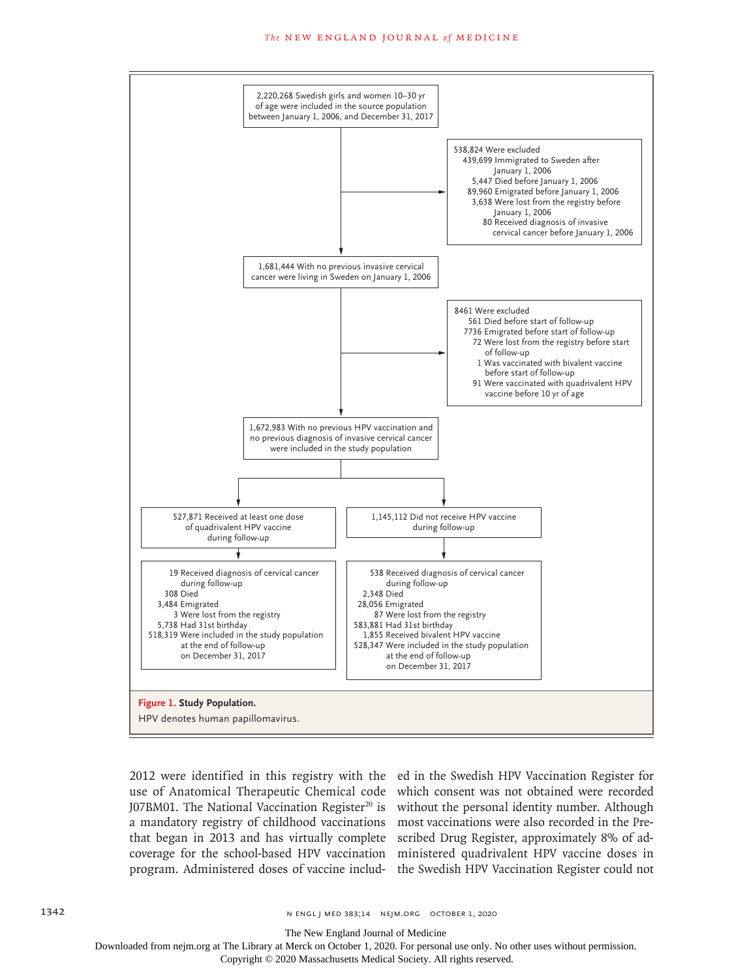#### The NEW ENGLAND JOURNAL of MEDICINE



2012 were identified in this registry with the ed in the Swedish HPV Vaccination Register for use of Anatomical Therapeutic Chemical code which consent was not obtained were recorded J07BM01. The National Vaccination Register<sup>20</sup> is without the personal identity number. Although a mandatory registry of childhood vaccinations most vaccinations were also recorded in the Prethat began in 2013 and has virtually complete scribed Drug Register, approximately 8% of adcoverage for the school-based HPV vaccination ministered quadrivalent HPV vaccine doses in program. Administered doses of vaccine includ-the Swedish HPV Vaccination Register could not

The New England Journal of Medicine

Downloaded from nejm.org at The Library at Merck on October 1, 2020. For personal use only. No other uses without permission.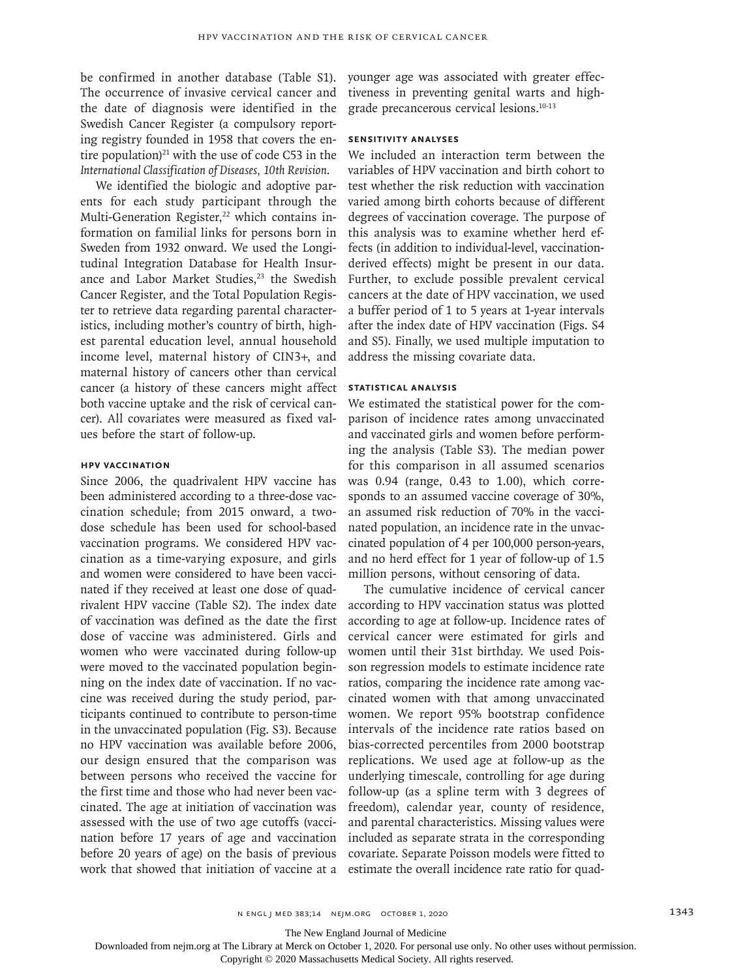be confirmed in another database (Table S1). The occurrence of invasive cervical cancer and the date of diagnosis were identified in the Swedish Cancer Register (a compulsory reporting registry founded in 1958 that covers the entire population) $21$  with the use of code C53 in the *International Classification of Diseases, 10th Revision*.

We identified the biologic and adoptive parents for each study participant through the Multi-Generation Register,<sup>22</sup> which contains information on familial links for persons born in Sweden from 1932 onward. We used the Longitudinal Integration Database for Health Insurance and Labor Market Studies,<sup>23</sup> the Swedish Cancer Register, and the Total Population Register to retrieve data regarding parental characteristics, including mother's country of birth, highest parental education level, annual household income level, maternal history of CIN3+, and maternal history of cancers other than cervical cancer (a history of these cancers might affect both vaccine uptake and the risk of cervical cancer). All covariates were measured as fixed values before the start of follow-up.

# **HPV Vaccination**

Since 2006, the quadrivalent HPV vaccine has been administered according to a three-dose vaccination schedule; from 2015 onward, a twodose schedule has been used for school-based vaccination programs. We considered HPV vaccination as a time-varying exposure, and girls and women were considered to have been vaccinated if they received at least one dose of quadrivalent HPV vaccine (Table S2). The index date of vaccination was defined as the date the first dose of vaccine was administered. Girls and women who were vaccinated during follow-up were moved to the vaccinated population beginning on the index date of vaccination. If no vaccine was received during the study period, participants continued to contribute to person-time in the unvaccinated population (Fig. S3). Because no HPV vaccination was available before 2006, our design ensured that the comparison was between persons who received the vaccine for the first time and those who had never been vaccinated. The age at initiation of vaccination was assessed with the use of two age cutoffs (vaccination before 17 years of age and vaccination before 20 years of age) on the basis of previous work that showed that initiation of vaccine at a

younger age was associated with greater effectiveness in preventing genital warts and highgrade precancerous cervical lesions.10-13

# **Sensitivity Analyses**

We included an interaction term between the variables of HPV vaccination and birth cohort to test whether the risk reduction with vaccination varied among birth cohorts because of different degrees of vaccination coverage. The purpose of this analysis was to examine whether herd effects (in addition to individual-level, vaccinationderived effects) might be present in our data. Further, to exclude possible prevalent cervical cancers at the date of HPV vaccination, we used a buffer period of 1 to 5 years at 1-year intervals after the index date of HPV vaccination (Figs. S4 and S5). Finally, we used multiple imputation to address the missing covariate data.

# **Statistical Analysis**

We estimated the statistical power for the comparison of incidence rates among unvaccinated and vaccinated girls and women before performing the analysis (Table S3). The median power for this comparison in all assumed scenarios was 0.94 (range, 0.43 to 1.00), which corresponds to an assumed vaccine coverage of 30%, an assumed risk reduction of 70% in the vaccinated population, an incidence rate in the unvaccinated population of 4 per 100,000 person-years, and no herd effect for 1 year of follow-up of 1.5 million persons, without censoring of data.

The cumulative incidence of cervical cancer according to HPV vaccination status was plotted according to age at follow-up. Incidence rates of cervical cancer were estimated for girls and women until their 31st birthday. We used Poisson regression models to estimate incidence rate ratios, comparing the incidence rate among vaccinated women with that among unvaccinated women. We report 95% bootstrap confidence intervals of the incidence rate ratios based on bias-corrected percentiles from 2000 bootstrap replications. We used age at follow-up as the underlying timescale, controlling for age during follow-up (as a spline term with 3 degrees of freedom), calendar year, county of residence, and parental characteristics. Missing values were included as separate strata in the corresponding covariate. Separate Poisson models were fitted to estimate the overall incidence rate ratio for quad-

The New England Journal of Medicine

Downloaded from nejm.org at The Library at Merck on October 1, 2020. For personal use only. No other uses without permission.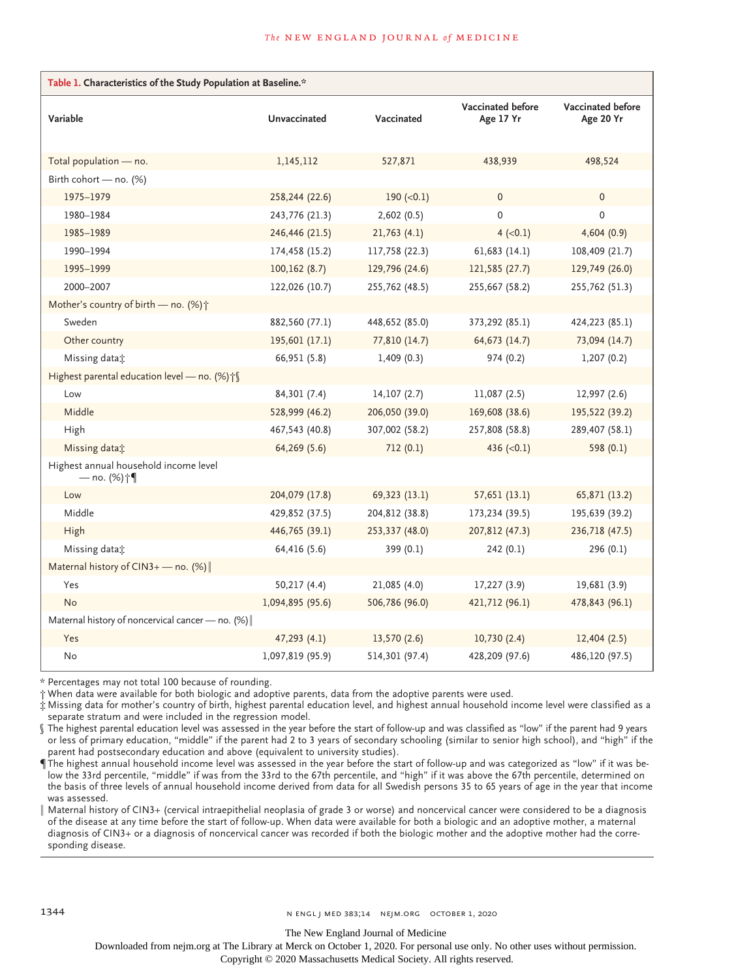| Table 1. Characteristics of the Study Population at Baseline.* |                  |                |                                |                                |  |  |  |  |
|----------------------------------------------------------------|------------------|----------------|--------------------------------|--------------------------------|--|--|--|--|
| Variable                                                       | Unvaccinated     | Vaccinated     | Vaccinated before<br>Age 17 Yr | Vaccinated before<br>Age 20 Yr |  |  |  |  |
| Total population - no.                                         | 1,145,112        | 527,871        | 438,939                        | 498,524                        |  |  |  |  |
| Birth cohort - no. (%)                                         |                  |                |                                |                                |  |  |  |  |
| 1975-1979                                                      | 258,244 (22.6)   | 190 $(0.1)$    | $\Omega$                       | $\Omega$                       |  |  |  |  |
| 1980-1984                                                      | 243,776 (21.3)   | 2,602(0.5)     | $\Omega$                       | $\Omega$                       |  |  |  |  |
| 1985-1989                                                      | 246,446 (21.5)   | 21,763(4.1)    | $4 (-0.1)$                     | 4,604(0.9)                     |  |  |  |  |
| 1990-1994                                                      | 174,458 (15.2)   | 117,758 (22.3) | 61,683 (14.1)                  | 108,409 (21.7)                 |  |  |  |  |
| 1995-1999                                                      | 100, 162(8.7)    | 129,796 (24.6) | 121,585 (27.7)                 | 129,749 (26.0)                 |  |  |  |  |
| 2000-2007                                                      | 122,026 (10.7)   | 255,762 (48.5) | 255,667 (58.2)                 | 255,762 (51.3)                 |  |  |  |  |
| Mother's country of birth - no. (%) +                          |                  |                |                                |                                |  |  |  |  |
| Sweden                                                         | 882,560 (77.1)   | 448,652 (85.0) | 373,292 (85.1)                 | 424,223 (85.1)                 |  |  |  |  |
| Other country                                                  | 195,601 (17.1)   | 77,810 (14.7)  | 64,673 (14.7)                  | 73,094 (14.7)                  |  |  |  |  |
| Missing data:                                                  | 66,951 (5.8)     | 1,409(0.3)     | 974 (0.2)                      | 1,207(0.2)                     |  |  |  |  |
| Highest parental education level - no. (%) $\uparrow$ [        |                  |                |                                |                                |  |  |  |  |
| Low                                                            | 84,301 (7.4)     | 14,107(2.7)    | 11,087(2.5)                    | 12,997(2.6)                    |  |  |  |  |
| Middle                                                         | 528,999 (46.2)   | 206,050 (39.0) | 169,608 (38.6)                 | 195,522 (39.2)                 |  |  |  |  |
| High                                                           | 467,543 (40.8)   | 307,002 (58.2) | 257,808 (58.8)                 | 289,407 (58.1)                 |  |  |  |  |
| Missing data:                                                  | 64,269 (5.6)     | 712(0.1)       | 436 $(<0.1)$                   | 598 (0.1)                      |  |  |  |  |
| Highest annual household income level<br>— no. (%)†¶           |                  |                |                                |                                |  |  |  |  |
| Low                                                            | 204,079 (17.8)   | 69,323 (13.1)  | 57,651 (13.1)                  | 65,871 (13.2)                  |  |  |  |  |
| Middle                                                         | 429,852 (37.5)   | 204,812 (38.8) | 173,234 (39.5)                 | 195,639 (39.2)                 |  |  |  |  |
| High                                                           | 446,765 (39.1)   | 253,337 (48.0) | 207,812 (47.3)                 | 236,718 (47.5)                 |  |  |  |  |
| Missing data:                                                  | 64,416 (5.6)     | 399 (0.1)      | 242(0.1)                       | 296(0.1)                       |  |  |  |  |
| Maternal history of $CIN3+$ - no. (%)                          |                  |                |                                |                                |  |  |  |  |
| Yes                                                            | 50,217 (4.4)     | 21,085 (4.0)   | 17,227 (3.9)                   | 19,681 (3.9)                   |  |  |  |  |
| <b>No</b>                                                      | 1,094,895 (95.6) | 506,786 (96.0) | 421,712 (96.1)                 | 478,843 (96.1)                 |  |  |  |  |
| Maternal history of noncervical cancer - no. (%)               |                  |                |                                |                                |  |  |  |  |
| Yes                                                            | 47,293(4.1)      | 13,570 (2.6)   | 10,730(2.4)                    | 12,404(2.5)                    |  |  |  |  |
| No                                                             | 1,097,819 (95.9) | 514,301 (97.4) | 428,209 (97.6)                 | 486,120 (97.5)                 |  |  |  |  |

\* Percentages may not total 100 because of rounding.

† When data were available for both biologic and adoptive parents, data from the adoptive parents were used.

‡ Missing data for mother's country of birth, highest parental education level, and highest annual household income level were classified as a separate stratum and were included in the regression model.

**Express contract and the construct of the start** of follow-up and was classified as "low" if the parent had 9 years<br>In the highest parental education level was assessed in the year before the start of follow-up and was cl or less of primary education, "middle" if the parent had 2 to 3 years of secondary schooling (similar to senior high school), and "high" if the parent had postsecondary education and above (equivalent to university studies).

¶ The highest annual household income level was assessed in the year before the start of follow-up and was categorized as "low" if it was below the 33rd percentile, "middle" if was from the 33rd to the 67th percentile, and "high" if it was above the 67th percentile, determined on the basis of three levels of annual household income derived from data for all Swedish persons 35 to 65 years of age in the year that income was assessed.

Maternal history of CIN3+ (cervical intraepithelial neoplasia of grade 3 or worse) and noncervical cancer were considered to be a diagnosis of the disease at any time before the start of follow-up. When data were available for both a biologic and an adoptive mother, a maternal diagnosis of CIN3+ or a diagnosis of noncervical cancer was recorded if both the biologic mother and the adoptive mother had the corresponding disease.

The New England Journal of Medicine

Downloaded from nejm.org at The Library at Merck on October 1, 2020. For personal use only. No other uses without permission.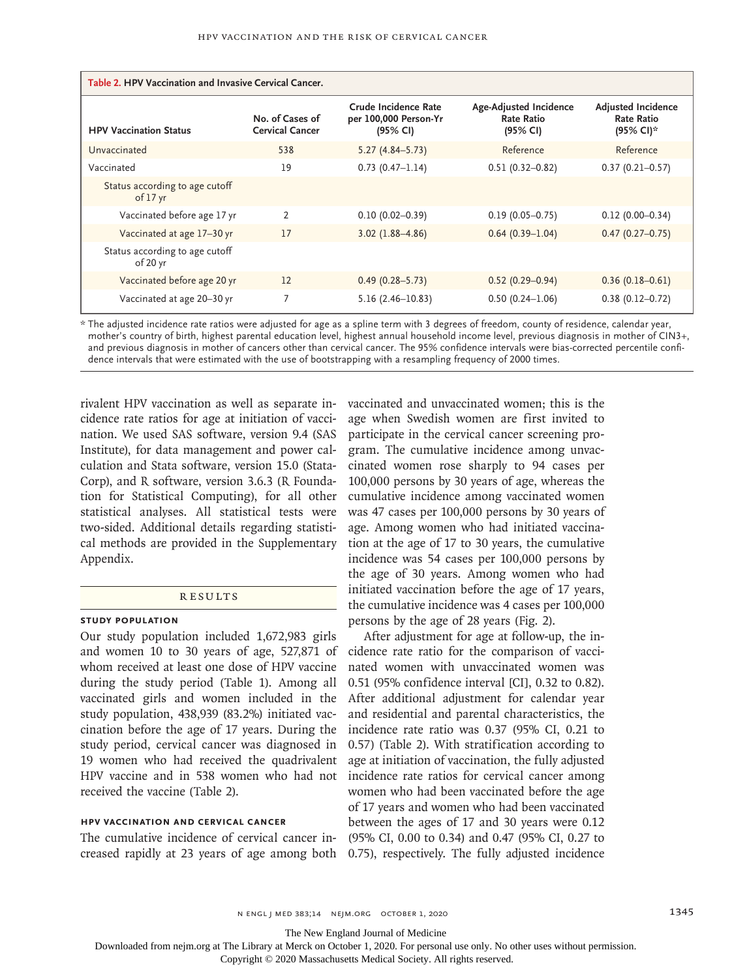| Table 2. HPV Vaccination and Invasive Cervical Cancer. |                                           |                                                           |                                                         |                                                             |  |  |  |
|--------------------------------------------------------|-------------------------------------------|-----------------------------------------------------------|---------------------------------------------------------|-------------------------------------------------------------|--|--|--|
| <b>HPV Vaccination Status</b>                          | No. of Cases of<br><b>Cervical Cancer</b> | Crude Incidence Rate<br>per 100,000 Person-Yr<br>(95% CI) | Age-Adjusted Incidence<br><b>Rate Ratio</b><br>(95% CI) | <b>Adjusted Incidence</b><br><b>Rate Ratio</b><br>(95% CI)* |  |  |  |
| Unvaccinated                                           | 538                                       | $5.27(4.84 - 5.73)$                                       | Reference                                               | Reference                                                   |  |  |  |
| Vaccinated                                             | 19                                        | $0.73(0.47 - 1.14)$                                       | $0.51(0.32 - 0.82)$                                     | $0.37(0.21 - 0.57)$                                         |  |  |  |
| Status according to age cutoff<br>of 17 yr             |                                           |                                                           |                                                         |                                                             |  |  |  |
| Vaccinated before age 17 yr                            | 2                                         | $0.10(0.02 - 0.39)$                                       | $0.19(0.05 - 0.75)$                                     | $0.12(0.00 - 0.34)$                                         |  |  |  |
| Vaccinated at age 17-30 yr                             | 17                                        | $3.02(1.88 - 4.86)$                                       | $0.64(0.39-1.04)$                                       | $0.47(0.27-0.75)$                                           |  |  |  |
| Status according to age cutoff<br>of 20 yr             |                                           |                                                           |                                                         |                                                             |  |  |  |
| Vaccinated before age 20 yr                            | 12                                        | $0.49(0.28 - 5.73)$                                       | $0.52(0.29 - 0.94)$                                     | $0.36(0.18 - 0.61)$                                         |  |  |  |
| Vaccinated at age 20-30 yr                             |                                           | $5.16(2.46 - 10.83)$                                      | $0.50(0.24 - 1.06)$                                     | $0.38(0.12 - 0.72)$                                         |  |  |  |

\* The adjusted incidence rate ratios were adjusted for age as a spline term with 3 degrees of freedom, county of residence, calendar year, mother's country of birth, highest parental education level, highest annual household income level, previous diagnosis in mother of CIN3+, and previous diagnosis in mother of cancers other than cervical cancer. The 95% confidence intervals were bias-corrected percentile confidence intervals that were estimated with the use of bootstrapping with a resampling frequency of 2000 times.

rivalent HPV vaccination as well as separate incidence rate ratios for age at initiation of vaccination. We used SAS software, version 9.4 (SAS Institute), for data management and power calculation and Stata software, version 15.0 (Stata-Corp), and R software, version 3.6.3 (R Foundation for Statistical Computing), for all other statistical analyses. All statistical tests were two-sided. Additional details regarding statistical methods are provided in the Supplementary Appendix.

# **RESULTS**

### **Study Population**

Our study population included 1,672,983 girls and women 10 to 30 years of age, 527,871 of whom received at least one dose of HPV vaccine during the study period (Table 1). Among all vaccinated girls and women included in the study population, 438,939 (83.2%) initiated vaccination before the age of 17 years. During the study period, cervical cancer was diagnosed in 19 women who had received the quadrivalent HPV vaccine and in 538 women who had not received the vaccine (Table 2).

# **HPV Vaccination and Cervical Cancer**

The cumulative incidence of cervical cancer in-

vaccinated and unvaccinated women; this is the age when Swedish women are first invited to participate in the cervical cancer screening program. The cumulative incidence among unvaccinated women rose sharply to 94 cases per 100,000 persons by 30 years of age, whereas the cumulative incidence among vaccinated women was 47 cases per 100,000 persons by 30 years of age. Among women who had initiated vaccination at the age of 17 to 30 years, the cumulative incidence was 54 cases per 100,000 persons by the age of 30 years. Among women who had initiated vaccination before the age of 17 years, the cumulative incidence was 4 cases per 100,000 persons by the age of 28 years (Fig. 2).

creased rapidly at 23 years of age among both 0.75), respectively. The fully adjusted incidence After adjustment for age at follow-up, the incidence rate ratio for the comparison of vaccinated women with unvaccinated women was 0.51 (95% confidence interval [CI], 0.32 to 0.82). After additional adjustment for calendar year and residential and parental characteristics, the incidence rate ratio was 0.37 (95% CI, 0.21 to 0.57) (Table 2). With stratification according to age at initiation of vaccination, the fully adjusted incidence rate ratios for cervical cancer among women who had been vaccinated before the age of 17 years and women who had been vaccinated between the ages of 17 and 30 years were 0.12 (95% CI, 0.00 to 0.34) and 0.47 (95% CI, 0.27 to

n engl j med 383;14 nejm.org October 1, 2020 1345

The New England Journal of Medicine

Downloaded from nejm.org at The Library at Merck on October 1, 2020. For personal use only. No other uses without permission.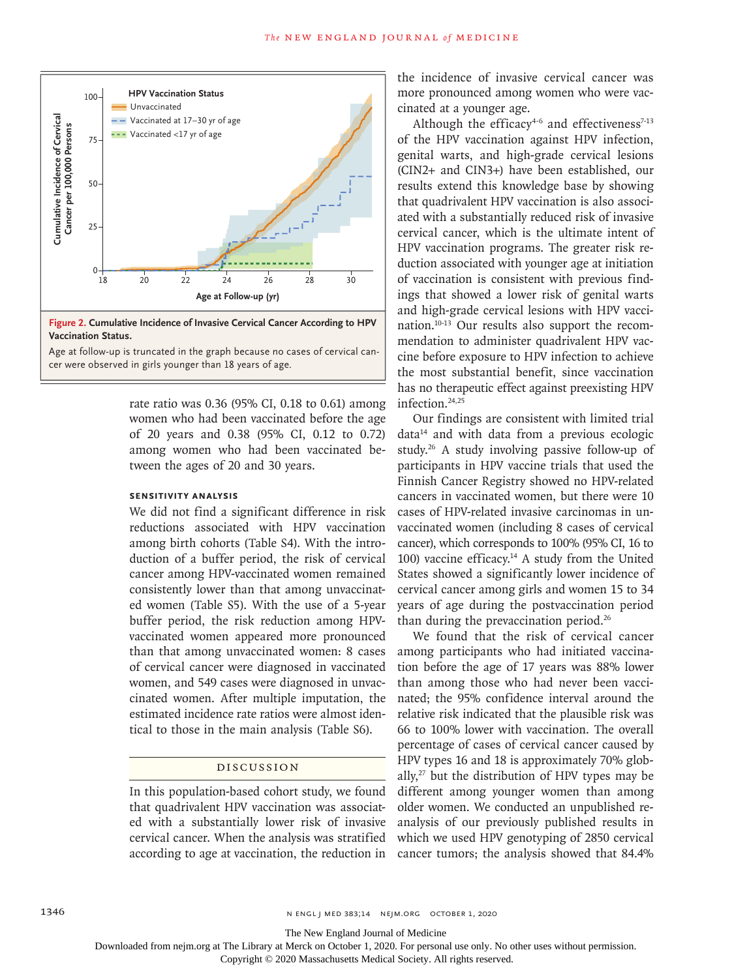

**Figure 2. Cumulative Incidence of Invasive Cervical Cancer According to HPV Vaccination Status.**

Age at follow-up is truncated in the graph because no cases of cervical can-

rate ratio was 0.36 (95% CI, 0.18 to 0.61) among women who had been vaccinated before the age of 20 years and 0.38 (95% CI, 0.12 to 0.72) among women who had been vaccinated between the ages of 20 and 30 years.

# **Sensitivity Analysis**

We did not find a significant difference in risk reductions associated with HPV vaccination among birth cohorts (Table S4). With the introduction of a buffer period, the risk of cervical cancer among HPV-vaccinated women remained consistently lower than that among unvaccinated women (Table S5). With the use of a 5-year buffer period, the risk reduction among HPVvaccinated women appeared more pronounced than that among unvaccinated women: 8 cases of cervical cancer were diagnosed in vaccinated women, and 549 cases were diagnosed in unvaccinated women. After multiple imputation, the estimated incidence rate ratios were almost identical to those in the main analysis (Table S6).

### Discussion

In this population-based cohort study, we found that quadrivalent HPV vaccination was associated with a substantially lower risk of invasive cervical cancer. When the analysis was stratified according to age at vaccination, the reduction in cancer tumors; the analysis showed that 84.4%

the incidence of invasive cervical cancer was more pronounced among women who were vaccinated at a younger age.

Although the efficacy<sup>4-6</sup> and effectiveness<sup>7-13</sup> of the HPV vaccination against HPV infection, genital warts, and high-grade cervical lesions (CIN2+ and CIN3+) have been established, our results extend this knowledge base by showing that quadrivalent HPV vaccination is also associated with a substantially reduced risk of invasive cervical cancer, which is the ultimate intent of HPV vaccination programs. The greater risk reduction associated with younger age at initiation of vaccination is consistent with previous findings that showed a lower risk of genital warts and high-grade cervical lesions with HPV vaccination.10-13 Our results also support the recommendation to administer quadrivalent HPV vaccine before exposure to HPV infection to achieve the most substantial benefit, since vaccination has no therapeutic effect against preexisting HPV infection.24,25

Our findings are consistent with limited trial data14 and with data from a previous ecologic study.26 A study involving passive follow-up of participants in HPV vaccine trials that used the Finnish Cancer Registry showed no HPV-related cancers in vaccinated women, but there were 10 cases of HPV-related invasive carcinomas in unvaccinated women (including 8 cases of cervical cancer), which corresponds to 100% (95% CI, 16 to 100) vaccine efficacy.14 A study from the United States showed a significantly lower incidence of cervical cancer among girls and women 15 to 34 years of age during the postvaccination period than during the prevaccination period.26

We found that the risk of cervical cancer among participants who had initiated vaccination before the age of 17 years was 88% lower than among those who had never been vaccinated; the 95% confidence interval around the relative risk indicated that the plausible risk was 66 to 100% lower with vaccination. The overall percentage of cases of cervical cancer caused by HPV types 16 and 18 is approximately 70% globally, $27$  but the distribution of HPV types may be different among younger women than among older women. We conducted an unpublished reanalysis of our previously published results in which we used HPV genotyping of 2850 cervical

The New England Journal of Medicine

Downloaded from nejm.org at The Library at Merck on October 1, 2020. For personal use only. No other uses without permission.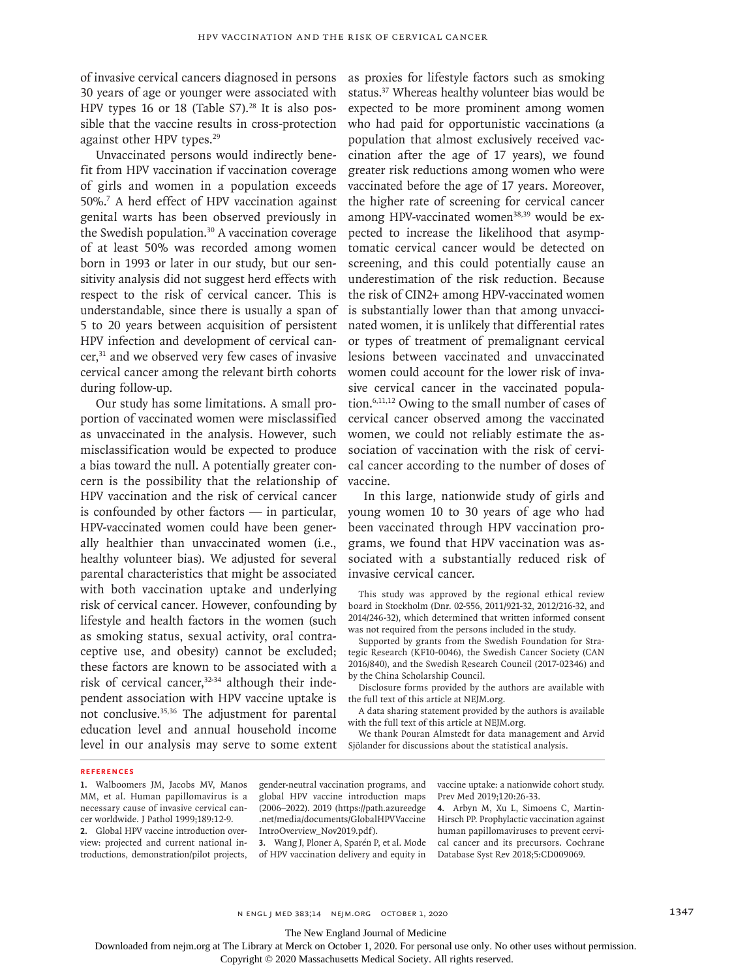of invasive cervical cancers diagnosed in persons 30 years of age or younger were associated with HPV types 16 or 18 (Table  $S7$ ).<sup>28</sup> It is also possible that the vaccine results in cross-protection against other HPV types.<sup>29</sup>

Unvaccinated persons would indirectly benefit from HPV vaccination if vaccination coverage of girls and women in a population exceeds 50%.7 A herd effect of HPV vaccination against genital warts has been observed previously in the Swedish population.30 A vaccination coverage of at least 50% was recorded among women born in 1993 or later in our study, but our sensitivity analysis did not suggest herd effects with respect to the risk of cervical cancer. This is understandable, since there is usually a span of 5 to 20 years between acquisition of persistent HPV infection and development of cervical cancer,31 and we observed very few cases of invasive cervical cancer among the relevant birth cohorts during follow-up.

Our study has some limitations. A small proportion of vaccinated women were misclassified as unvaccinated in the analysis. However, such misclassification would be expected to produce a bias toward the null. A potentially greater concern is the possibility that the relationship of HPV vaccination and the risk of cervical cancer is confounded by other factors — in particular, HPV-vaccinated women could have been generally healthier than unvaccinated women (i.e., healthy volunteer bias). We adjusted for several parental characteristics that might be associated with both vaccination uptake and underlying risk of cervical cancer. However, confounding by lifestyle and health factors in the women (such as smoking status, sexual activity, oral contraceptive use, and obesity) cannot be excluded; these factors are known to be associated with a risk of cervical cancer,<sup>32-34</sup> although their independent association with HPV vaccine uptake is not conclusive.35,36 The adjustment for parental education level and annual household income level in our analysis may serve to some extent

as proxies for lifestyle factors such as smoking status.37 Whereas healthy volunteer bias would be expected to be more prominent among women who had paid for opportunistic vaccinations (a population that almost exclusively received vaccination after the age of 17 years), we found greater risk reductions among women who were vaccinated before the age of 17 years. Moreover, the higher rate of screening for cervical cancer among HPV-vaccinated women<sup>38,39</sup> would be expected to increase the likelihood that asymptomatic cervical cancer would be detected on screening, and this could potentially cause an underestimation of the risk reduction. Because the risk of CIN2+ among HPV-vaccinated women is substantially lower than that among unvaccinated women, it is unlikely that differential rates or types of treatment of premalignant cervical lesions between vaccinated and unvaccinated women could account for the lower risk of invasive cervical cancer in the vaccinated population.6,11,12 Owing to the small number of cases of cervical cancer observed among the vaccinated women, we could not reliably estimate the association of vaccination with the risk of cervical cancer according to the number of doses of vaccine.

In this large, nationwide study of girls and young women 10 to 30 years of age who had been vaccinated through HPV vaccination programs, we found that HPV vaccination was associated with a substantially reduced risk of invasive cervical cancer.

This study was approved by the regional ethical review board in Stockholm (Dnr. 02-556, 2011/921-32, 2012/216-32, and 2014/246-32), which determined that written informed consent was not required from the persons included in the study.

Supported by grants from the Swedish Foundation for Strategic Research (KF10-0046), the Swedish Cancer Society (CAN 2016/840), and the Swedish Research Council (2017-02346) and by the China Scholarship Council.

Disclosure forms provided by the authors are available with the full text of this article at NEJM.org.

A data sharing statement provided by the authors is available with the full text of this article at NEJM.org.

We thank Pouran Almstedt for data management and Arvid Sjölander for discussions about the statistical analysis.

#### **References**

**1.** Walboomers JM, Jacobs MV, Manos MM, et al. Human papillomavirus is a necessary cause of invasive cervical cancer worldwide. J Pathol 1999;189:12-9.

**2.** Global HPV vaccine introduction overview: projected and current national introductions, demonstration/pilot projects,

gender-neutral vaccination programs, and global HPV vaccine introduction maps (2006–2022). 2019 (https://path.azureedge .net/media/documents/GlobalHPVVaccine IntroOverview\_Nov2019.pdf).

**3.** Wang J, Ploner A, Sparén P, et al. Mode of HPV vaccination delivery and equity in vaccine uptake: a nationwide cohort study. Prev Med 2019;120:26-33.

**4.** Arbyn M, Xu L, Simoens C, Martin-Hirsch PP. Prophylactic vaccination against human papillomaviruses to prevent cervical cancer and its precursors. Cochrane Database Syst Rev 2018;5:CD009069.

n engl j med 383;14 nejm.org October 1, 2020 1347

The New England Journal of Medicine

Downloaded from nejm.org at The Library at Merck on October 1, 2020. For personal use only. No other uses without permission.